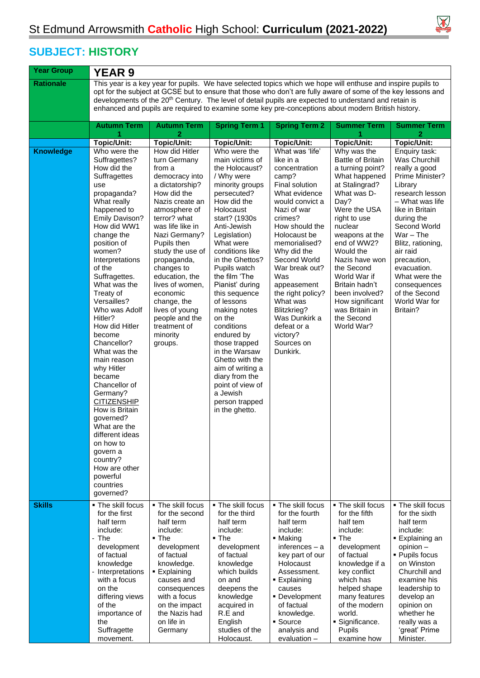

 $\overline{\phantom{a}}$ 

## **SUBJECT: HISTORY**

| <b>Year Group</b>                 | <b>YEAR 9</b>                                                                                                                                                                                                                                                                                                                                                                                                                                                                                                                                                                                                                                                 |                                                                                                                                                                                                                                                                                                                                                                                                                       |                                                                                                                                                                                                                                                                                                                                                                                                                                                                                                                                                               |                                                                                                                                                                                                                                                                                                                                                                                                             |                                                                                                                                                                                                                                                                                                                                                                                          |                                                                                                                                                                                                                                                                                                                                                               |  |  |  |
|-----------------------------------|---------------------------------------------------------------------------------------------------------------------------------------------------------------------------------------------------------------------------------------------------------------------------------------------------------------------------------------------------------------------------------------------------------------------------------------------------------------------------------------------------------------------------------------------------------------------------------------------------------------------------------------------------------------|-----------------------------------------------------------------------------------------------------------------------------------------------------------------------------------------------------------------------------------------------------------------------------------------------------------------------------------------------------------------------------------------------------------------------|---------------------------------------------------------------------------------------------------------------------------------------------------------------------------------------------------------------------------------------------------------------------------------------------------------------------------------------------------------------------------------------------------------------------------------------------------------------------------------------------------------------------------------------------------------------|-------------------------------------------------------------------------------------------------------------------------------------------------------------------------------------------------------------------------------------------------------------------------------------------------------------------------------------------------------------------------------------------------------------|------------------------------------------------------------------------------------------------------------------------------------------------------------------------------------------------------------------------------------------------------------------------------------------------------------------------------------------------------------------------------------------|---------------------------------------------------------------------------------------------------------------------------------------------------------------------------------------------------------------------------------------------------------------------------------------------------------------------------------------------------------------|--|--|--|
| <b>Rationale</b>                  | This year is a key year for pupils. We have selected topics which we hope will enthuse and inspire pupils to<br>opt for the subject at GCSE but to ensure that those who don't are fully aware of some of the key lessons and                                                                                                                                                                                                                                                                                                                                                                                                                                 |                                                                                                                                                                                                                                                                                                                                                                                                                       |                                                                                                                                                                                                                                                                                                                                                                                                                                                                                                                                                               |                                                                                                                                                                                                                                                                                                                                                                                                             |                                                                                                                                                                                                                                                                                                                                                                                          |                                                                                                                                                                                                                                                                                                                                                               |  |  |  |
|                                   | developments of the 20 <sup>th</sup> Century. The level of detail pupils are expected to understand and retain is<br>enhanced and pupils are required to examine some key pre-conceptions about modern British history.                                                                                                                                                                                                                                                                                                                                                                                                                                       |                                                                                                                                                                                                                                                                                                                                                                                                                       |                                                                                                                                                                                                                                                                                                                                                                                                                                                                                                                                                               |                                                                                                                                                                                                                                                                                                                                                                                                             |                                                                                                                                                                                                                                                                                                                                                                                          |                                                                                                                                                                                                                                                                                                                                                               |  |  |  |
|                                   | <b>Autumn Term</b><br>1                                                                                                                                                                                                                                                                                                                                                                                                                                                                                                                                                                                                                                       | <b>Autumn Term</b><br>$\overline{2}$                                                                                                                                                                                                                                                                                                                                                                                  | <b>Spring Term 1</b>                                                                                                                                                                                                                                                                                                                                                                                                                                                                                                                                          | <b>Spring Term 2</b>                                                                                                                                                                                                                                                                                                                                                                                        | <b>Summer Term</b><br>1                                                                                                                                                                                                                                                                                                                                                                  | <b>Summer Term</b><br>2                                                                                                                                                                                                                                                                                                                                       |  |  |  |
|                                   | <b>Topic/Unit:</b>                                                                                                                                                                                                                                                                                                                                                                                                                                                                                                                                                                                                                                            | <b>Topic/Unit:</b>                                                                                                                                                                                                                                                                                                                                                                                                    | <b>Topic/Unit:</b>                                                                                                                                                                                                                                                                                                                                                                                                                                                                                                                                            | <b>Topic/Unit:</b>                                                                                                                                                                                                                                                                                                                                                                                          | <b>Topic/Unit:</b>                                                                                                                                                                                                                                                                                                                                                                       | <b>Topic/Unit:</b>                                                                                                                                                                                                                                                                                                                                            |  |  |  |
| <b>Knowledge</b><br><b>Skills</b> | Who were the<br>Suffragettes?<br>How did the<br>Suffragettes<br>use<br>propaganda?<br>What really<br>happened to<br><b>Emily Davison?</b><br>How did WW1<br>change the<br>position of<br>women?<br>Interpretations<br>of the<br>Suffragettes.<br>What was the<br>Treaty of<br>Versailles?<br>Who was Adolf<br>Hitler?<br>How did Hitler<br>become<br>Chancellor?<br>What was the<br>main reason<br>why Hitler<br>became<br>Chancellor of<br>Germany?<br><b>CITIZENSHIP</b><br>How is Britain<br>governed?<br>What are the<br>different ideas<br>on how to<br>govern a<br>country?<br>How are other<br>powerful<br>countries<br>governed?<br>• The skill focus | How did Hitler<br>turn Germany<br>from a<br>democracy into<br>a dictatorship?<br>How did the<br>Nazis create an<br>atmosphere of<br>terror? what<br>was life like in<br>Nazi Germany?<br>Pupils then<br>study the use of<br>propaganda,<br>changes to<br>education, the<br>lives of women,<br>economic<br>change, the<br>lives of young<br>people and the<br>treatment of<br>minority<br>groups.<br>• The skill focus | Who were the<br>main victims of<br>the Holocaust?<br>/ Why were<br>minority groups<br>persecuted?<br>How did the<br>Holocaust<br>start? (1930s<br>Anti-Jewish<br>Legislation)<br>What were<br>conditions like<br>in the Ghettos?<br>Pupils watch<br>the film 'The<br>Pianist' during<br>this sequence<br>of lessons<br>making notes<br>on the<br>conditions<br>endured by<br>those trapped<br>in the Warsaw<br>Ghetto with the<br>aim of writing a<br>diary from the<br>point of view of<br>a Jewish<br>person trapped<br>in the ghetto.<br>• The skill focus | What was 'life'<br>like in a<br>concentration<br>camp?<br>Final solution<br>What evidence<br>would convict a<br>Nazi of war<br>crimes?<br>How should the<br>Holocaust be<br>memorialised?<br>Why did the<br>Second World<br>War break out?<br>Was<br>appeasement<br>the right policy?<br>What was<br>Blitzkrieg?<br>Was Dunkirk a<br>defeat or a<br>victory?<br>Sources on<br>Dunkirk.<br>• The skill focus | Why was the<br><b>Battle of Britain</b><br>a turning point?<br>What happened<br>at Stalingrad?<br>What was D-<br>Day?<br>Were the USA<br>right to use<br>nuclear<br>weapons at the<br>end of WW2?<br>Would the<br>Nazis have won<br>the Second<br>World War if<br>Britain hadn't<br>been involved?<br>How significant<br>was Britain in<br>the Second<br>World War?<br>• The skill focus | Enquiry task:<br><b>Was Churchill</b><br>really a good<br>Prime Minister?<br>Library<br>research lesson<br>– What was life<br>like in Britain<br>during the<br>Second World<br>$War - The$<br>Blitz, rationing,<br>air raid<br>precaution,<br>evacuation.<br>What were the<br>consequences<br>of the Second<br>World War for<br>Britain?<br>• The skill focus |  |  |  |
|                                   | for the first<br>half term<br>include:<br>- The<br>development<br>of factual<br>knowledge<br>- Interpretations<br>with a focus<br>on the<br>differing views<br>of the<br>importance of<br>the<br>Suffragette<br>movement.                                                                                                                                                                                                                                                                                                                                                                                                                                     | for the second<br>half term<br>include:<br>$\blacksquare$ The<br>development<br>of factual<br>knowledge.<br><b>Explaining</b><br>causes and<br>consequences<br>with a focus<br>on the impact<br>the Nazis had<br>on life in<br>Germany                                                                                                                                                                                | for the third<br>half term<br>include:<br>$\blacksquare$ The<br>development<br>of factual<br>knowledge<br>which builds<br>on and<br>deepens the<br>knowledge<br>acquired in<br>R.E and<br>English<br>studies of the<br>Holocaust.                                                                                                                                                                                                                                                                                                                             | for the fourth<br>half term<br>include:<br>■ Making<br>inferences $-$ a<br>key part of our<br>Holocaust<br>Assessment.<br><b>Explaining</b><br>causes<br>• Development<br>of factual<br>knowledge.<br>• Source<br>analysis and<br>evaluation -                                                                                                                                                              | for the fifth<br>half tem<br>include:<br>$\blacksquare$ The<br>development<br>of factual<br>knowledge if a<br>key conflict<br>which has<br>helped shape<br>many features<br>of the modern<br>world.<br>· Significance.<br>Pupils<br>examine how                                                                                                                                          | for the sixth<br>half term<br>include:<br>■ Explaining an<br>$opinion -$<br>• Pupils focus<br>on Winston<br>Churchill and<br>examine his<br>leadership to<br>develop an<br>opinion on<br>whether he<br>really was a<br>'great' Prime<br>Minister.                                                                                                             |  |  |  |